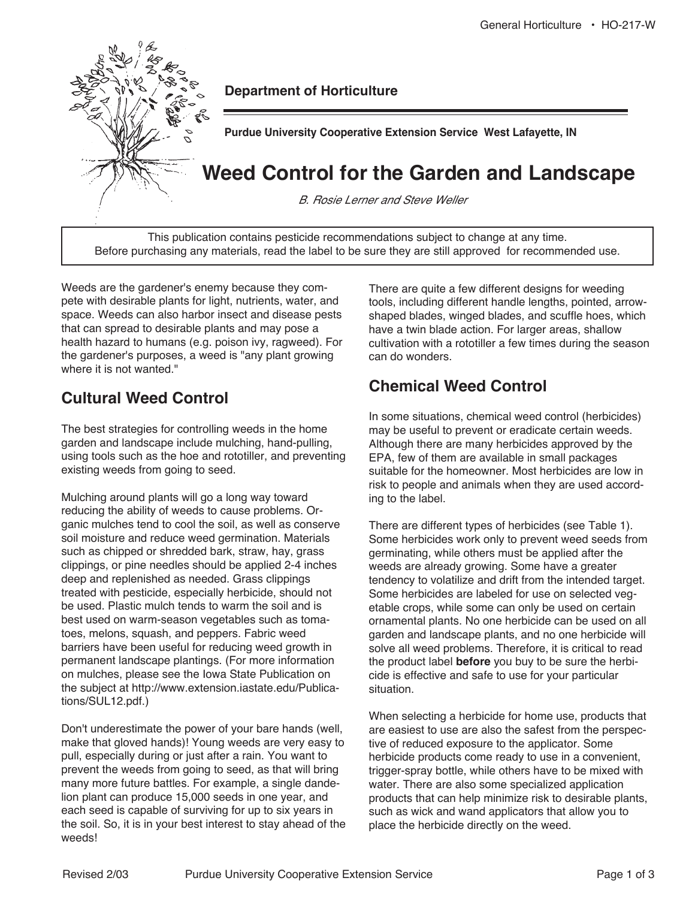

**Department of Horticulture**

**Purdue University Cooperative Extension Service West Lafayette, IN** 

# **Weed Control for the Garden and Landscape**

B. Rosie Lerner and Steve Weller

This publication contains pesticide recommendations subject to change at any time. Before purchasing any materials, read the label to be sure they are still approved for recommended use.

Weeds are the gardener's enemy because they compete with desirable plants for light, nutrients, water, and space. Weeds can also harbor insect and disease pests that can spread to desirable plants and may pose a health hazard to humans (e.g. poison ivy, ragweed). For the gardener's purposes, a weed is "any plant growing where it is not wanted."

# **Cultural Weed Control**

The best strategies for controlling weeds in the home garden and landscape include mulching, hand-pulling, using tools such as the hoe and rototiller, and preventing existing weeds from going to seed.

Mulching around plants will go a long way toward reducing the ability of weeds to cause problems. Organic mulches tend to cool the soil, as well as conserve soil moisture and reduce weed germination. Materials such as chipped or shredded bark, straw, hay, grass clippings, or pine needles should be applied 2-4 inches deep and replenished as needed. Grass clippings treated with pesticide, especially herbicide, should not be used. Plastic mulch tends to warm the soil and is best used on warm-season vegetables such as tomatoes, melons, squash, and peppers. Fabric weed barriers have been useful for reducing weed growth in permanent landscape plantings. (For more information on mulches, please see the Iowa State Publication on the subject at http://www.extension.iastate.edu/Publications/SUL12.pdf.)

Don't underestimate the power of your bare hands (well, make that gloved hands)! Young weeds are very easy to pull, especially during or just after a rain. You want to prevent the weeds from going to seed, as that will bring many more future battles. For example, a single dandelion plant can produce 15,000 seeds in one year, and each seed is capable of surviving for up to six years in the soil. So, it is in your best interest to stay ahead of the weeds!

There are quite a few different designs for weeding tools, including different handle lengths, pointed, arrowshaped blades, winged blades, and scuffle hoes, which have a twin blade action. For larger areas, shallow cultivation with a rototiller a few times during the season can do wonders.

# **Chemical Weed Control**

In some situations, chemical weed control (herbicides) may be useful to prevent or eradicate certain weeds. Although there are many herbicides approved by the EPA, few of them are available in small packages suitable for the homeowner. Most herbicides are low in risk to people and animals when they are used according to the label.

There are different types of herbicides (see Table 1). Some herbicides work only to prevent weed seeds from germinating, while others must be applied after the weeds are already growing. Some have a greater tendency to volatilize and drift from the intended target. Some herbicides are labeled for use on selected vegetable crops, while some can only be used on certain ornamental plants. No one herbicide can be used on all garden and landscape plants, and no one herbicide will solve all weed problems. Therefore, it is critical to read the product label **before** you buy to be sure the herbicide is effective and safe to use for your particular situation.

When selecting a herbicide for home use, products that are easiest to use are also the safest from the perspective of reduced exposure to the applicator. Some herbicide products come ready to use in a convenient, trigger-spray bottle, while others have to be mixed with water. There are also some specialized application products that can help minimize risk to desirable plants, such as wick and wand applicators that allow you to place the herbicide directly on the weed.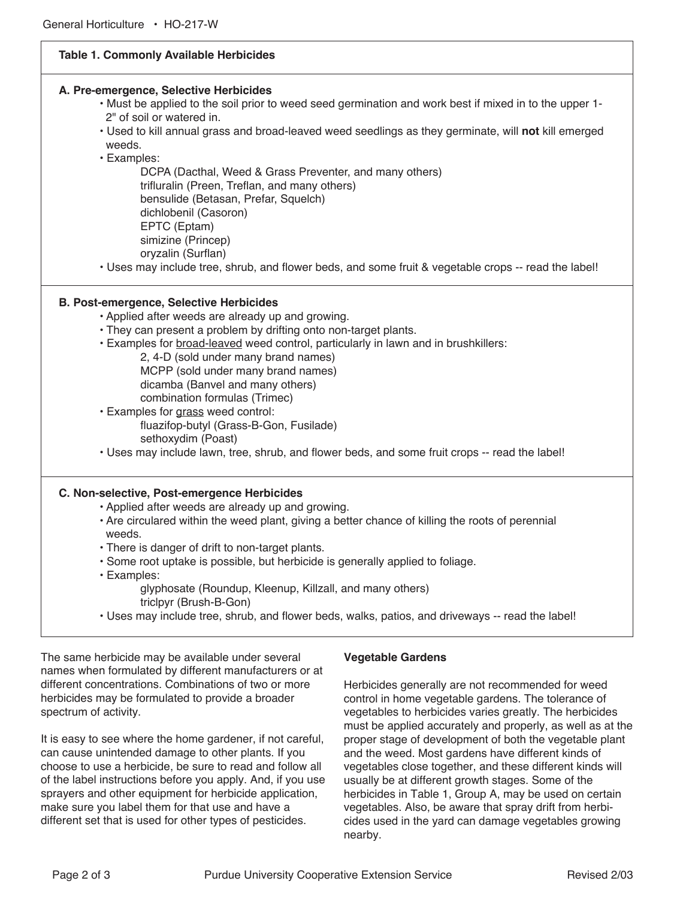### **Table 1. Commonly Available Herbicides**

#### **A. Pre-emergence, Selective Herbicides**

- Must be applied to the soil prior to weed seed germination and work best if mixed in to the upper 1- 2" of soil or watered in.
- Used to kill annual grass and broad-leaved weed seedlings as they germinate, will **not** kill emerged weeds.
- Examples:

DCPA (Dacthal, Weed & Grass Preventer, and many others) trifluralin (Preen, Treflan, and many others) bensulide (Betasan, Prefar, Squelch) dichlobenil (Casoron) EPTC (Eptam) simizine (Princep) oryzalin (Surflan)

• Uses may include tree, shrub, and flower beds, and some fruit & vegetable crops -- read the label!

#### **B. Post-emergence, Selective Herbicides**

- Applied after weeds are already up and growing.
- They can present a problem by drifting onto non-target plants.
- Examples for broad-leaved weed control, particularly in lawn and in brushkillers:
	- 2, 4-D (sold under many brand names)
	- MCPP (sold under many brand names)
	- dicamba (Banvel and many others)
	- combination formulas (Trimec)
- Examples for grass weed control: fluazifop-butyl (Grass-B-Gon, Fusilade) sethoxydim (Poast)
- Uses may include lawn, tree, shrub, and flower beds, and some fruit crops -- read the label!

#### **C. Non-selective, Post-emergence Herbicides**

- Applied after weeds are already up and growing.
- Are circulared within the weed plant, giving a better chance of killing the roots of perennial weeds.
- There is danger of drift to non-target plants.
- Some root uptake is possible, but herbicide is generally applied to foliage.
- Examples:
	- glyphosate (Roundup, Kleenup, Killzall, and many others) triclpyr (Brush-B-Gon)
- Uses may include tree, shrub, and flower beds, walks, patios, and driveways -- read the label!

The same herbicide may be available under several names when formulated by different manufacturers or at different concentrations. Combinations of two or more herbicides may be formulated to provide a broader spectrum of activity.

It is easy to see where the home gardener, if not careful, can cause unintended damage to other plants. If you choose to use a herbicide, be sure to read and follow all of the label instructions before you apply. And, if you use sprayers and other equipment for herbicide application, make sure you label them for that use and have a different set that is used for other types of pesticides.

#### **Vegetable Gardens**

Herbicides generally are not recommended for weed control in home vegetable gardens. The tolerance of vegetables to herbicides varies greatly. The herbicides must be applied accurately and properly, as well as at the proper stage of development of both the vegetable plant and the weed. Most gardens have different kinds of vegetables close together, and these different kinds will usually be at different growth stages. Some of the herbicides in Table 1, Group A, may be used on certain vegetables. Also, be aware that spray drift from herbicides used in the yard can damage vegetables growing nearby.